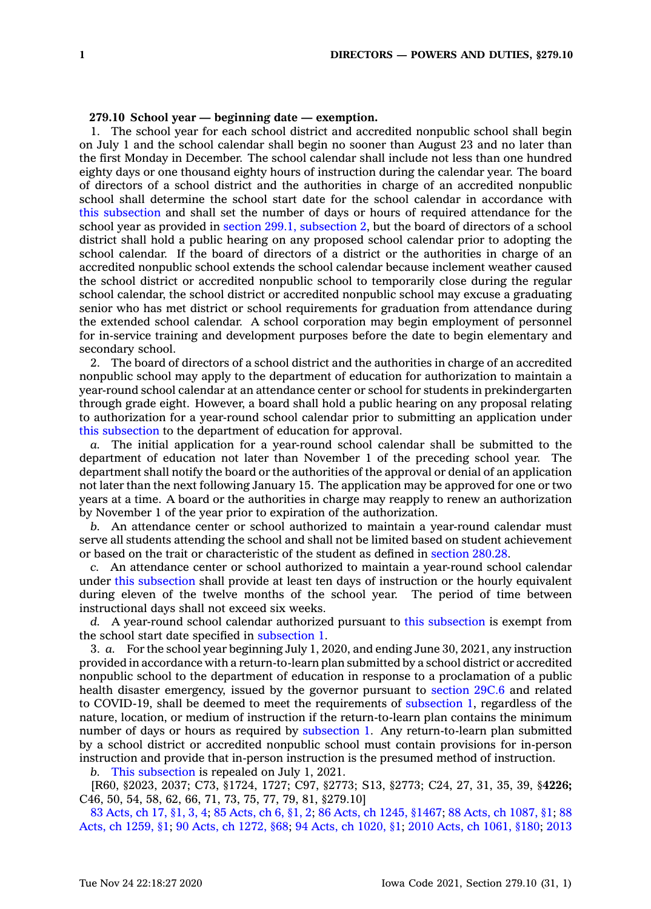## **279.10 School year — beginning date — exemption.**

1. The school year for each school district and accredited nonpublic school shall begin on July 1 and the school calendar shall begin no sooner than August 23 and no later than the first Monday in December. The school calendar shall include not less than one hundred eighty days or one thousand eighty hours of instruction during the calendar year. The board of directors of <sup>a</sup> school district and the authorities in charge of an accredited nonpublic school shall determine the school start date for the school calendar in accordance with this [subsection](https://www.legis.iowa.gov/docs/code/279.10.pdf) and shall set the number of days or hours of required attendance for the school year as provided in section 299.1, [subsection](https://www.legis.iowa.gov/docs/code/299.1.pdf) 2, but the board of directors of <sup>a</sup> school district shall hold <sup>a</sup> public hearing on any proposed school calendar prior to adopting the school calendar. If the board of directors of <sup>a</sup> district or the authorities in charge of an accredited nonpublic school extends the school calendar because inclement weather caused the school district or accredited nonpublic school to temporarily close during the regular school calendar, the school district or accredited nonpublic school may excuse <sup>a</sup> graduating senior who has met district or school requirements for graduation from attendance during the extended school calendar. A school corporation may begin employment of personnel for in-service training and development purposes before the date to begin elementary and secondary school.

2. The board of directors of <sup>a</sup> school district and the authorities in charge of an accredited nonpublic school may apply to the department of education for authorization to maintain <sup>a</sup> year-round school calendar at an attendance center or school for students in prekindergarten through grade eight. However, <sup>a</sup> board shall hold <sup>a</sup> public hearing on any proposal relating to authorization for <sup>a</sup> year-round school calendar prior to submitting an application under this [subsection](https://www.legis.iowa.gov/docs/code/279.10.pdf) to the department of education for approval.

*a.* The initial application for <sup>a</sup> year-round school calendar shall be submitted to the department of education not later than November 1 of the preceding school year. The department shall notify the board or the authorities of the approval or denial of an application not later than the next following January 15. The application may be approved for one or two years at <sup>a</sup> time. A board or the authorities in charge may reapply to renew an authorization by November 1 of the year prior to expiration of the authorization.

*b.* An attendance center or school authorized to maintain <sup>a</sup> year-round calendar must serve all students attending the school and shall not be limited based on student achievement or based on the trait or characteristic of the student as defined in [section](https://www.legis.iowa.gov/docs/code/280.28.pdf) 280.28.

*c.* An attendance center or school authorized to maintain <sup>a</sup> year-round school calendar under this [subsection](https://www.legis.iowa.gov/docs/code/279.10.pdf) shall provide at least ten days of instruction or the hourly equivalent during eleven of the twelve months of the school year. The period of time between instructional days shall not exceed six weeks.

*d.* A year-round school calendar authorized pursuant to this [subsection](https://www.legis.iowa.gov/docs/code/279.10.pdf) is exempt from the school start date specified in [subsection](https://www.legis.iowa.gov/docs/code/279.10.pdf) 1.

3. *a.* For the school year beginning July 1, 2020, and ending June 30, 2021, any instruction provided in accordance with <sup>a</sup> return-to-learn plan submitted by <sup>a</sup> school district or accredited nonpublic school to the department of education in response to <sup>a</sup> proclamation of <sup>a</sup> public health disaster emergency, issued by the governor pursuant to [section](https://www.legis.iowa.gov/docs/code/29C.6.pdf) 29C.6 and related to COVID-19, shall be deemed to meet the requirements of [subsection](https://www.legis.iowa.gov/docs/code/279.10.pdf) 1, regardless of the nature, location, or medium of instruction if the return-to-learn plan contains the minimum number of days or hours as required by [subsection](https://www.legis.iowa.gov/docs/code/279.10.pdf) 1. Any return-to-learn plan submitted by <sup>a</sup> school district or accredited nonpublic school must contain provisions for in-person instruction and provide that in-person instruction is the presumed method of instruction.

*b.* This [subsection](https://www.legis.iowa.gov/docs/code/279.10.pdf) is repealed on July 1, 2021.

[R60, §2023, 2037; C73, §1724, 1727; C97, §2773; S13, §2773; C24, 27, 31, 35, 39, §**4226;** C46, 50, 54, 58, 62, 66, 71, 73, 75, 77, 79, 81, §279.10]

83 [Acts,](https://www.legis.iowa.gov/docs/acts/1983/CH0017.pdf) ch 17, §1, 3, 4; 85 [Acts,](https://www.legis.iowa.gov/docs/acts/85/CH0006.pdf) ch 6, §1, 2; 86 Acts, ch 1245, [§1467](https://www.legis.iowa.gov/docs/acts/86/CH1245.pdf); 88 Acts, ch [1087,](https://www.legis.iowa.gov/docs/acts/88/CH1087.pdf) §1; [88](https://www.legis.iowa.gov/docs/acts/88/CH1259.pdf) Acts, ch [1259,](https://www.legis.iowa.gov/docs/acts/88/CH1259.pdf) §1; 90 Acts, ch [1272,](https://www.legis.iowa.gov/docs/acts/90/CH1272.pdf) §68; 94 Acts, ch [1020,](https://www.legis.iowa.gov/docs/acts/94/CH1020.pdf) §1; 2010 Acts, ch [1061,](https://www.legis.iowa.gov/docs/acts/2010/CH1061.pdf) §180; [2013](https://www.legis.iowa.gov/docs/acts/2013/CH0121.pdf)